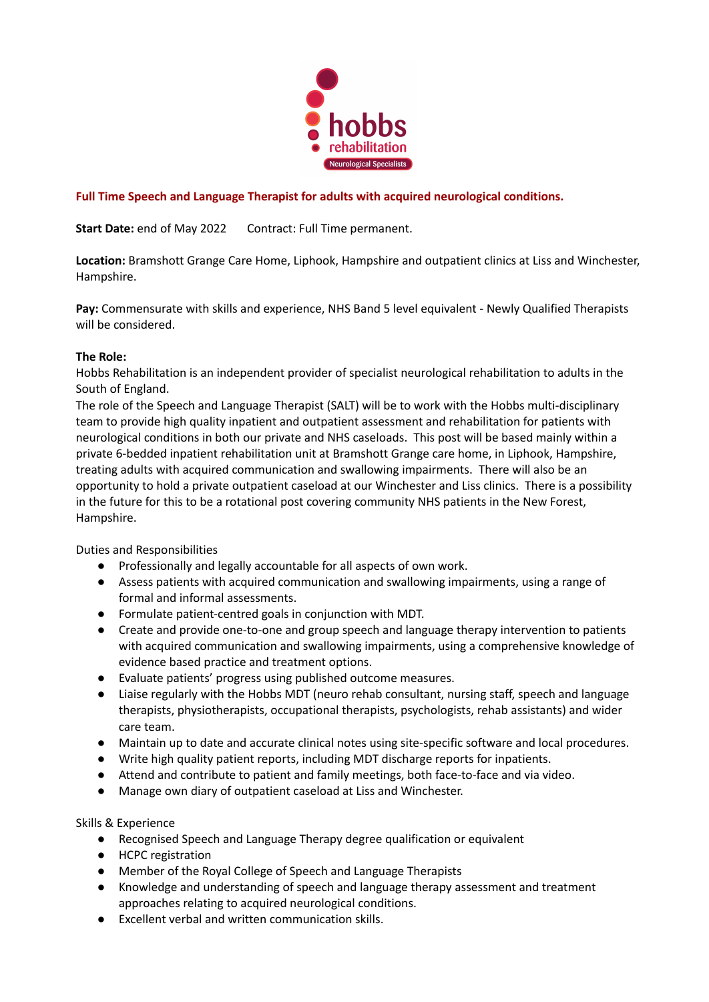

# **Full Time Speech and Language Therapist for adults with acquired neurological conditions.**

**Start Date:** end of May 2022 Contract: Full Time permanent.

**Location:** Bramshott Grange Care Home, Liphook, Hampshire and outpatient clinics at Liss and Winchester, Hampshire.

**Pay:** Commensurate with skills and experience, NHS Band 5 level equivalent - Newly Qualified Therapists will be considered.

#### **The Role:**

Hobbs Rehabilitation is an independent provider of specialist neurological rehabilitation to adults in the South of England.

The role of the Speech and Language Therapist (SALT) will be to work with the Hobbs multi-disciplinary team to provide high quality inpatient and outpatient assessment and rehabilitation for patients with neurological conditions in both our private and NHS caseloads. This post will be based mainly within a private 6-bedded inpatient rehabilitation unit at Bramshott Grange care home, in Liphook, Hampshire, treating adults with acquired communication and swallowing impairments. There will also be an opportunity to hold a private outpatient caseload at our Winchester and Liss clinics. There is a possibility in the future for this to be a rotational post covering community NHS patients in the New Forest, Hampshire.

Duties and Responsibilities

- Professionally and legally accountable for all aspects of own work.
- Assess patients with acquired communication and swallowing impairments, using a range of formal and informal assessments.
- Formulate patient-centred goals in conjunction with MDT.
- Create and provide one-to-one and group speech and language therapy intervention to patients with acquired communication and swallowing impairments, using a comprehensive knowledge of evidence based practice and treatment options.
- Evaluate patients' progress using published outcome measures.
- Liaise regularly with the Hobbs MDT (neuro rehab consultant, nursing staff, speech and language therapists, physiotherapists, occupational therapists, psychologists, rehab assistants) and wider care team.
- Maintain up to date and accurate clinical notes using site-specific software and local procedures.
- Write high quality patient reports, including MDT discharge reports for inpatients.
- Attend and contribute to patient and family meetings, both face-to-face and via video.
- Manage own diary of outpatient caseload at Liss and Winchester.

Skills & Experience

- Recognised Speech and Language Therapy degree qualification or equivalent
- HCPC registration
- Member of the Royal College of Speech and Language Therapists
- Knowledge and understanding of speech and language therapy assessment and treatment approaches relating to acquired neurological conditions.
- Excellent verbal and written communication skills.